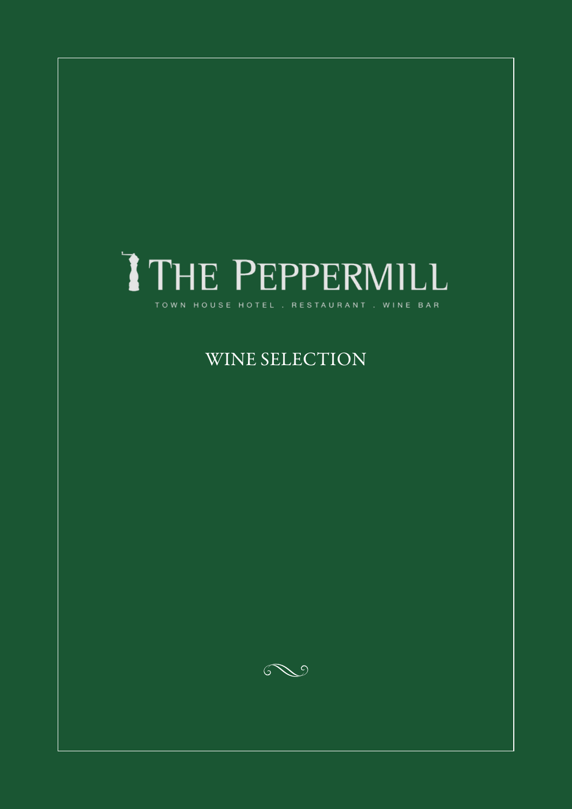## THE PEPPERMILL TOWN HOUSE HOTEL . RESTAURANT . WINE BAR

### WINE SELECTION

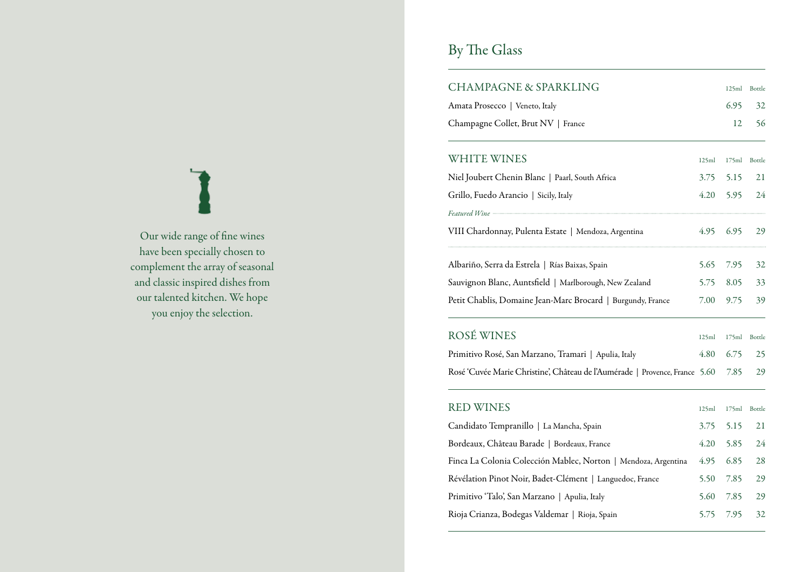### Our wide range of fine wines have been specially chosen to complement the array of seasonal and classic inspired dishes from our talented kitchen. We hope you enjoy the selection.

## By The Glass

| <b>CHAMPAGNE &amp; SPARKLING</b>                                            |       | 125ml | Bottle |
|-----------------------------------------------------------------------------|-------|-------|--------|
| Amata Prosecco   Veneto, Italy                                              |       | 6.95  | 32     |
| Champagne Collet, Brut NV   France                                          |       | 12    | 56     |
| <b>WHITE WINES</b>                                                          | 125ml | 175ml | Bottle |
| Niel Joubert Chenin Blanc   Paarl, South Africa                             | 3.75  | 5.15  | 21     |
| Grillo, Fuedo Arancio   Sicily, Italy                                       | 4.20  | 5.95  | 24     |
|                                                                             |       |       |        |
| VIII Chardonnay, Pulenta Estate   Mendoza, Argentina                        | 4.95  | 6.95  | 29     |
| Albariño, Serra da Estrela   Rías Baixas, Spain                             | 5.65  | 7.95  | 32     |
| Sauvignon Blanc, Auntsfield   Marlborough, New Zealand                      | 5.75  | 8.05  | 33     |
| Petit Chablis, Domaine Jean-Marc Brocard   Burgundy, France                 | 7.00  | 9.75  | 39     |
| ROSÉ WINES                                                                  | 125ml | 175ml | Bottle |
| Primitivo Rosé, San Marzano, Tramari   Apulia, Italy                        | 4.80  | 6.75  | 25     |
| Rosé 'Cuvée Marie Christine', Château de l'Aumérade   Provence, France 5.60 |       | 7.85  | 29     |
| <b>RED WINES</b>                                                            | 125ml | 175ml | Bottle |
| Candidato Tempranillo   La Mancha, Spain                                    | 3.75  | 5.15  | 21     |
| Bordeaux, Château Barade   Bordeaux, France                                 | 4.20  | 5.85  | 24     |
| Finca La Colonia Colección Mablec, Norton   Mendoza, Argentina              | 4.95  | 6.85  | 28     |
| Révélation Pinot Noir, Badet-Clément   Languedoc, France                    | 5.50  | 7.85  | 29     |
| Primitivo 'Talo', San Marzano   Apulia, Italy                               | 5.60  | 7.85  | 29     |
| Rioja Crianza, Bodegas Valdemar   Rioja, Spain                              | 5.75  | 7.95  | 32     |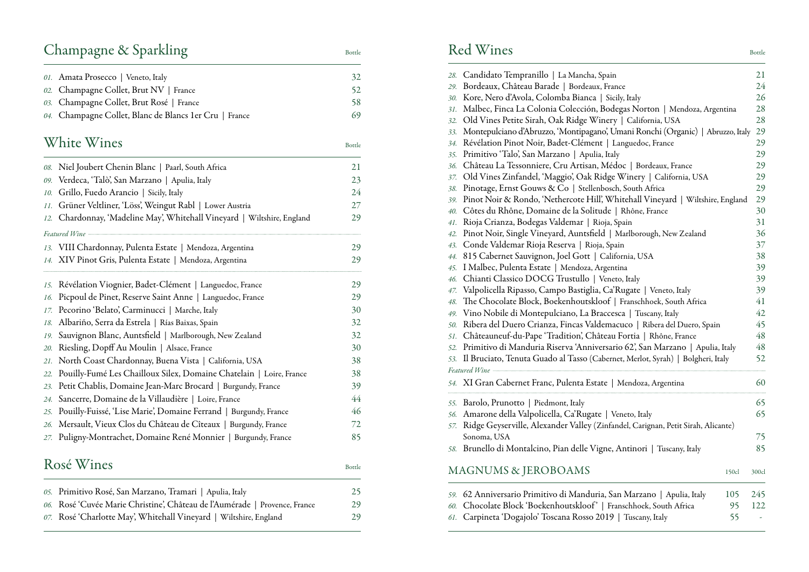## Champagne & Sparkling Bottle

| 01. Amata Prosecco   Veneto, Italy                      | 32 |
|---------------------------------------------------------|----|
| 02. Champagne Collet, Brut NV   France                  | 52 |
| 03. Champagne Collet, Brut Rosé   France                | 58 |
| 04. Champagne Collet, Blanc de Blancs 1 er Cru   France | 69 |
|                                                         |    |

### White Wines Bottle

|     | 08. Niel Joubert Chenin Blanc   Paarl, South Africa                        | 21     |
|-----|----------------------------------------------------------------------------|--------|
|     | 09. Verdeca, 'Talò', San Marzano   Apulia, Italy                           | 23     |
| 10. | Grillo, Fuedo Arancio   Sicily, Italy                                      | 24     |
| 11. | Grüner Veltliner, 'Löss', Weingut Rabl   Lower Austria                     | 27     |
| 12. | Chardonnay, 'Madeline May', Whitehall Vineyard   Wiltshire, England        | 29     |
|     |                                                                            |        |
|     | 13. VIII Chardonnay, Pulenta Estate   Mendoza, Argentina                   | 29     |
|     | 14. XIV Pinot Gris, Pulenta Estate   Mendoza, Argentina                    | 29     |
|     | 15. Révélation Viognier, Badet-Clément   Languedoc, France                 | 29     |
|     | 16. Picpoul de Pinet, Reserve Saint Anne   Languedoc, France               | 29     |
|     | 17. Pecorino 'Belato', Carminucci   Marche, Italy                          | 30     |
|     | 18. Albariño, Serra da Estrela   Rías Baixas, Spain                        | 32     |
|     | 19. Sauvignon Blanc, Auntsfield   Marlborough, New Zealand                 | 32     |
| 20. | Riesling, Dopff Au Moulin   Alsace, France                                 | 30     |
| 21. | North Coast Chardonnay, Buena Vista   California, USA                      | 38     |
| 22. | Pouilly-Fumé Les Chailloux Silex, Domaine Chatelain   Loire, France        | 38     |
|     | 23. Petit Chablis, Domaine Jean-Marc Brocard   Burgundy, France            | 39     |
|     | 24. Sancerre, Domaine de la Villaudière   Loire, France                    | 44     |
|     | 25. Pouilly-Fuissé, 'Lise Marie', Domaine Ferrand   Burgundy, France       | 46     |
|     | 26. Mersault, Vieux Clos du Château de Cîteaux   Burgundy, France          | 72     |
|     | 27. Puligny-Montrachet, Domaine René Monnier   Burgundy, France            | 85     |
|     | Rosé Wines                                                                 | Bottle |
|     | 05. Primitivo Rosé, San Marzano, Tramari   Apulia, Italy                   | 25     |
|     | 06. Rosé 'Cuvée Marie Christine', Château de l'Aumérade   Provence, France | 29     |
|     |                                                                            |        |

*07.* Rosé 'Charlotte May', Whitehall Vineyard | Wiltshire, England 29

### Red Wines Bottle

| 28. | Candidato Tempranillo   La Mancha, Spain                                                                                                                                                                                       | 21    |
|-----|--------------------------------------------------------------------------------------------------------------------------------------------------------------------------------------------------------------------------------|-------|
| 29. | Bordeaux, Château Barade   Bordeaux, France                                                                                                                                                                                    | 24    |
| 30. | Kore, Nero d'Avola, Colomba Bianca   Sicily, Italy                                                                                                                                                                             | 26    |
| 31. | Malbec, Finca La Colonia Colección, Bodegas Norton   Mendoza, Argentina                                                                                                                                                        | 28    |
| 32. | Old Vines Petite Sirah, Oak Ridge Winery   California, USA                                                                                                                                                                     | 28    |
| 33. | Montepulciano d'Abruzzo, 'Montipagano', Umani Ronchi (Organic)   Abruzzo, Italy                                                                                                                                                | 29    |
| 34. | Révélation Pinot Noir, Badet-Clément   Languedoc, France                                                                                                                                                                       | 29    |
| 35. | Primitivo 'Talo', San Marzano   Apulia, Italy                                                                                                                                                                                  | 29    |
| 36. | Château La Tessonniere, Cru Artisan, Médoc   Bordeaux, France                                                                                                                                                                  | 29    |
| 37. | Old Vines Zinfandel, 'Maggio', Oak Ridge Winery   California, USA                                                                                                                                                              | 29    |
| 38. | Pinotage, Ernst Gouws & Co   Stellenbosch, South Africa                                                                                                                                                                        | 29    |
| 39. | Pinot Noir & Rondo, 'Nethercote Hill', Whitehall Vineyard   Wiltshire, England                                                                                                                                                 | 29    |
| 40. | Côtes du Rhône, Domaine de la Solitude   Rhône, France                                                                                                                                                                         | 30    |
| 41. | Rioja Crianza, Bodegas Valdemar   Rioja, Spain                                                                                                                                                                                 | 31    |
| 42. | Pinot Noir, Single Vineyard, Auntsfield   Marlborough, New Zealand                                                                                                                                                             | 36    |
| 43. | Conde Valdemar Rioja Reserva   Rioja, Spain                                                                                                                                                                                    | 37    |
| 44. | 815 Cabernet Sauvignon, Joel Gott   California, USA                                                                                                                                                                            | 38    |
| 45. | I Malbec, Pulenta Estate   Mendoza, Argentina                                                                                                                                                                                  | 39    |
| 46. | Chianti Classico DOCG Trustullo   Veneto, Italy                                                                                                                                                                                | 39    |
| 47. | Valpolicella Ripasso, Campo Bastiglia, Ca'Rugate   Veneto, Italy                                                                                                                                                               | 39    |
| 48. | The Chocolate Block, Boekenhoutskloof   Franschhoek, South Africa                                                                                                                                                              | 41    |
| 49. | Vino Nobile di Montepulciano, La Braccesca   Tuscany, Italy                                                                                                                                                                    | 42    |
| 50. | Ribera del Duero Crianza, Fincas Valdemacuco   Ribera del Duero, Spain                                                                                                                                                         | 45    |
| 51. | Châteauneuf-du-Pape 'Tradition', Château Fortia   Rhône, France                                                                                                                                                                | 48    |
| 52. | Primitivo di Manduria Riserva 'Anniversario 62', San Marzano   Apulia, Italy                                                                                                                                                   | 48    |
| 53. | Il Bruciato, Tenuta Guado al Tasso (Cabernet, Merlot, Syrah)   Bolgheri, Italy                                                                                                                                                 | 52    |
|     | Featured Wine - The Commission of the Real Property of the Real Property of the Real Property of the Real Property of the Real Property of the Real Property of the Real Property of the Real Property of the Real Property of |       |
|     |                                                                                                                                                                                                                                |       |
|     | 54. XI Gran Cabernet Franc, Pulenta Estate   Mendoza, Argentina                                                                                                                                                                | 60    |
|     | 55. Barolo, Prunotto   Piedmont, Italy                                                                                                                                                                                         | 65    |
| 56. | Amarone della Valpolicella, Ca'Rugate   Veneto, Italy                                                                                                                                                                          | 65    |
| 57. | Ridge Geyserville, Alexander Valley (Zinfandel, Carignan, Petit Sirah, Alicante)                                                                                                                                               |       |
|     | Sonoma, USA                                                                                                                                                                                                                    | 75    |
|     | 58. Brunello di Montalcino, Pian delle Vigne, Antinori   Tuscany, Italy                                                                                                                                                        | 85    |
|     |                                                                                                                                                                                                                                |       |
|     | <b>MAGNUMS &amp; JEROBOAMS</b><br>150cl                                                                                                                                                                                        | 300cl |
|     |                                                                                                                                                                                                                                |       |
|     | 59. 62 Anniversario Primitivo di Manduria, San Marzano   Apulia, Italy<br>105                                                                                                                                                  | 245   |
| 60. | Chocolate Block 'Boekenhoutskloof'   Franschhoek, South Africa<br>95                                                                                                                                                           | 122   |
|     | 61. Carpineta 'Dogajolo' Toscana Rosso 2019   Tuscany, Italy<br>55                                                                                                                                                             | ÷,    |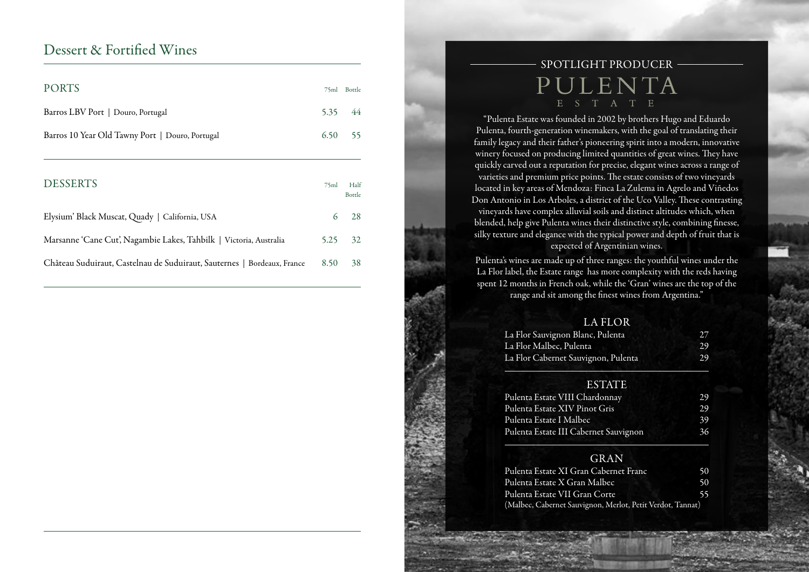### Dessert & Fortified Wines

| <b>PORTS</b>                                                       |      | 75ml Bottle    |
|--------------------------------------------------------------------|------|----------------|
| Barros LBV Port   Douro, Portugal                                  | 5.35 | 44             |
| Barros 10 Year Old Tawny Port   Douro, Portugal                    | 6.50 | 55             |
|                                                                    |      |                |
| <b>DESSERTS</b>                                                    | 75ml | Half<br>Bottle |
| Elysium' Black Muscat, Quady   California, USA                     | 6    | 28             |
| Marsanne 'Cane Cut', Nagambie Lakes, Tahbilk   Victoria, Australia | 5.25 | 32             |

Château Suduiraut, Castelnau de Suduiraut, Sauternes | Bordeaux, France 8.50 38

### SPOTLIGHT PRODUCER PULENTA E S T A T E

"Pulenta Estate was founded in 2002 by brothers Hugo and Eduardo Pulenta, fourth-generation winemakers, with the goal of translating their family legacy and their father's pioneering spirit into a modern, innovative winery focused on producing limited quantities of great wines. They have quickly carved out a reputation for precise, elegant wines across a range of varieties and premium price points. The estate consists of two vineyards located in key areas of Mendoza: Finca La Zulema in Agrelo and Viñedos Don Antonio in Los Arboles, a district of the Uco Valley. These contrasting vineyards have complex alluvial soils and distinct altitudes which, when blended, help give Pulenta wines their distinctive style, combining finesse, silky texture and elegance with the typical power and depth of fruit that is expected of Argentinian wines.

Pulenta's wines are made up of three ranges: the youthful wines under the La Flor label, the Estate range has more complexity with the reds having spent 12 months in French oak, while the 'Gran' wines are the top of the range and sit among the finest wines from Argentina."

#### LA FLOR

| La Flor Sauvignon Blanc, Pulenta    |     |
|-------------------------------------|-----|
| La Flor Malbec, Pulenta             | 29. |
| La Flor Cabernet Sauvignon, Pulenta | 29  |

#### **ESTATE**

| Pulenta Estate VIII Chardonnay        | 29 |
|---------------------------------------|----|
| Pulenta Estate XIV Pinot Gris         | 29 |
| Pulenta Estate I Malbec               | 39 |
| Pulenta Estate III Cabernet Sauvignon | 36 |

### GRAN

| Pulenta Estate XI Gran Cabernet Franc                      | 50  |
|------------------------------------------------------------|-----|
| Pulenta Estate X Gran Malbec                               | 50. |
| Pulenta Estate VII Gran Corte                              | 55. |
| (Malbec, Cabernet Sauvignon, Merlot, Petit Verdot, Tannat) |     |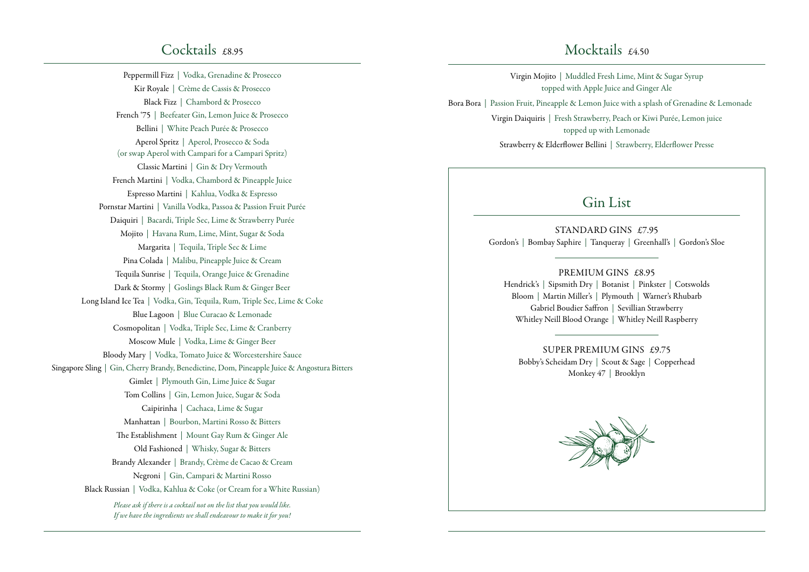Peppermill Fizz | Vodka, Grenadine & Prosecco Kir Royale | Crème de Cassis & Prosecco Black Fizz | Chambord & Prosecco French '75 | Beefeater Gin, Lemon Juice & Prosecco Bellini | White Peach Purée & Prosecco Aperol Spritz | Aperol, Prosecco & Soda (or swap Aperol with Campari for a Campari Spritz) Classic Martini | Gin & Dry Vermouth French Martini | Vodka, Chambord & Pineapple Juice Espresso Martini | Kahlua, Vodka & Espresso Pornstar Martini | Vanilla Vodka, Passoa & Passion Fruit Purée Daiquiri | Bacardi, Triple Sec, Lime & Strawberry Purée Mojito | Havana Rum, Lime, Mint, Sugar & Soda Margarita | Tequila, Triple Sec & Lime Pina Colada | Malibu, Pineapple Juice & Cream Tequila Sunrise | Tequila, Orange Juice & Grenadine Dark & Stormy | Goslings Black Rum & Ginger Beer Long Island Ice Tea | Vodka, Gin, Tequila, Rum, Triple Sec, Lime & Coke Blue Lagoon | Blue Curacao & Lemonade Cosmopolitan | Vodka, Triple Sec, Lime & Cranberry Moscow Mule | Vodka, Lime & Ginger Beer Bloody Mary | Vodka, Tomato Juice & Worcestershire Sauce Singapore Sling | Gin, Cherry Brandy, Benedictine, Dom, Pineapple Juice & Angostura Bitters Gimlet | Plymouth Gin, Lime Juice & Sugar Tom Collins | Gin, Lemon Juice, Sugar & Soda Caipirinha | Cachaca, Lime & Sugar Manhattan | Bourbon, Martini Rosso & Bitters The Establishment | Mount Gay Rum & Ginger Ale Old Fashioned | Whisky, Sugar & Bitters Brandy Alexander | Brandy, Crème de Cacao & Cream Negroni | Gin, Campari & Martini Rosso Black Russian | Vodka, Kahlua & Coke (or Cream for a White Russian) *Please ask if there is a cocktail not on the list that you would like.* 

*If we have the ingredients we shall endeavour to make it for you!*

### Mocktails  $f_4$ 50

Virgin Mojito | Muddled Fresh Lime, Mint & Sugar Syrup topped with Apple Juice and Ginger Ale Bora Bora | Passion Fruit, Pineapple & Lemon Juice with a splash of Grenadine & Lemonade Virgin Daiquiris | Fresh Strawberry, Peach or Kiwi Purée, Lemon juice

> topped up with Lemonade Strawberry & Elderflower Bellini | Strawberry, Elderflower Presse

### Gin List

STANDARD GINS £7.95 Gordon's | Bombay Saphire | Tanqueray | Greenhall's | Gordon's Sloe

PREMIUM GINS £8.95 Hendrick's | Sipsmith Dry | Botanist | Pinkster | Cotswolds Bloom | Martin Miller's | Plymouth | Warner's Rhubarb Gabriel Boudier Saffron | Sevillian Strawberry Whitley Neill Blood Orange | Whitley Neill Raspberry

SUPER PREMIUM GINS £9.75 Bobby's Scheidam Dry | Scout & Sage | Copperhead Monkey 47 | Brooklyn

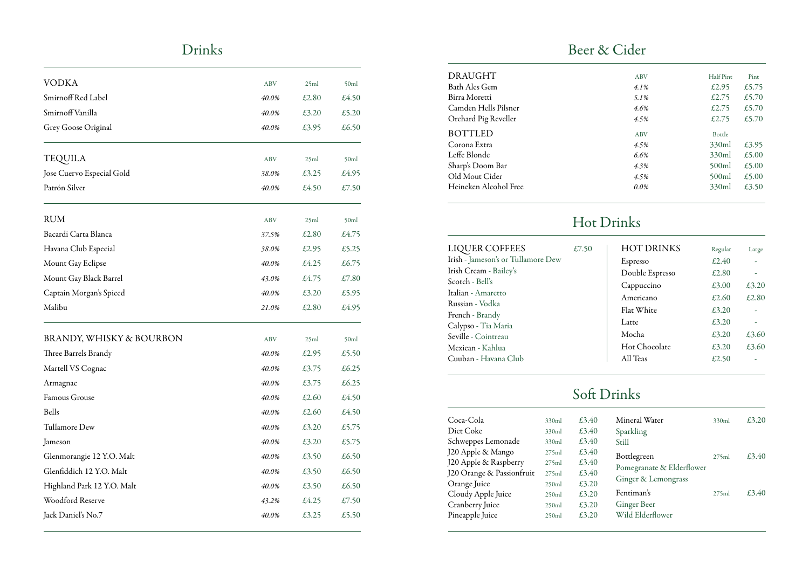## Drinks

| VODKA                      | <b>ABV</b> | 25ml  | 50ml  |
|----------------------------|------------|-------|-------|
| Smirnoff Red Label         | 40.0%      | £2.80 | £4.50 |
| Smirnoff Vanilla           | 40.0%      | £3.20 | £5.20 |
| Grey Goose Original        | 40.0%      | £3.95 | £6.50 |
| <b>TEQUILA</b>             | <b>ABV</b> | 25ml  | 50ml  |
| Jose Cuervo Especial Gold  | 38.0%      | £3.25 | £4.95 |
| Patrón Silver              | 40.0%      | £4.50 | £7.50 |
| <b>RUM</b>                 | <b>ABV</b> | 25ml  | 50ml  |
| Bacardi Carta Blanca       | 37.5%      | £2.80 | £4.75 |
| Havana Club Especial       | 38.0%      | £2.95 | £5.25 |
| Mount Gay Eclipse          | 40.0%      | £4.25 | £6.75 |
| Mount Gay Black Barrel     | 43.0%      | £4.75 | £7.80 |
| Captain Morgan's Spiced    | 40.0%      | £3.20 | £5.95 |
| Malibu                     | 21.0%      | £2.80 | £4.95 |
| BRANDY, WHISKY & BOURBON   | <b>ABV</b> | 25ml  | 50ml  |
| Three Barrels Brandy       | 40.0%      | £2.95 | £5.50 |
| Martell VS Cognac          | 40.0%      | £3.75 | £6.25 |
| Armagnac                   | 40.0%      | £3.75 | £6.25 |
| Famous Grouse              | 40.0%      | £2.60 | £4.50 |
| <b>Bells</b>               | 40.0%      | £2.60 | £4.50 |
| Tullamore Dew              | 40.0%      | £3.20 | £5.75 |
| Jameson                    | 40.0%      | £3.20 | £5.75 |
| Glenmorangie 12 Y.O. Malt  | 40.0%      | £3.50 | £6.50 |
| Glenfiddich 12 Y.O. Malt   | 40.0%      | £3.50 | £6.50 |
| Highland Park 12 Y.O. Malt | 40.0%      | £3.50 | £6.50 |
| Woodford Reserve           | 43.2%      | £4.25 | £7.50 |
| Jack Daniel's No.7         | 40.0%      | £3.25 | £5.50 |
|                            |            |       |       |

### Beer & Cider

| DRAUGHT               | <b>ABV</b> | Half Pint | Pint  |
|-----------------------|------------|-----------|-------|
| Bath Ales Gem         | $4.1\%$    | £2.95     | £5.75 |
| Birra Moretti         | 5.1%       | £2.75     | £5.70 |
| Camden Hells Pilsner  | 4.6%       | £2.75     | £5.70 |
| Orchard Pig Reveller  | 4.5%       | £2.75     | £5.70 |
| <b>BOTTLED</b>        | <b>ABV</b> | Bottle    |       |
| Corona Extra          | 4.5%       | 330ml     | £3.95 |
| Leffe Blonde          | 6.6%       | 330ml     | £5.00 |
| Sharp's Doom Bar      | 4.3%       | 500ml     | £5.00 |
| Old Mout Cider        | 4.5%       | 500ml     | £5.00 |
| Heineken Alcohol Free | $0.0\%$    | 330ml     | £3.50 |
|                       |            |           |       |

## Hot Drinks

| LIQUER COFFEES                     | £7.50 | <b>HOT DRINKS</b> | Regular | Large |
|------------------------------------|-------|-------------------|---------|-------|
| Irish - Jameson's or Tullamore Dew |       | Espresso          | £2.40   |       |
| Irish Cream - Bailey's             |       | Double Espresso   | £2.80   |       |
| Scotch - Bell's                    |       | Cappuccino        | £3.00   | £3.20 |
| Italian - Amaretto                 |       | Americano         | £2.60   | £2.80 |
| Russian - Vodka                    |       | Flat White        | £3.20   |       |
| French - Brandy                    |       | Latte             | £3.20   |       |
| Calypso - Tia Maria                |       | Mocha             | f3.20   | £3.60 |
| Seville - Cointreau                |       | Hot Chocolate     | £3.20   | £3.60 |
| Mexican - Kahlua                   |       |                   |         |       |
| Cuuban - Havana Club               |       | All Teas          | £2.50   |       |

## Soft Drinks

| Coca-Cola                 | 330ml | £3.40 | Mineral Water             | 330ml | £3,20 |
|---------------------------|-------|-------|---------------------------|-------|-------|
| Diet Coke                 | 330ml | £3.40 | Sparkling                 |       |       |
| Schweppes Lemonade        | 330ml | £3.40 | Still                     |       |       |
| J20 Apple & Mango         | 275ml | £3.40 | Bottlegreen               | 275ml | £3,40 |
| J20 Apple & Raspberry     | 275ml | £3.40 | Pomegranate & Elderflower |       |       |
| J20 Orange & Passionfruit | 275ml | £3.40 |                           |       |       |
| Orange Juice              | 250ml | £3.20 | Ginger & Lemongrass       |       |       |
| Cloudy Apple Juice        | 250ml | £3.20 | Fentiman's                | 275ml | £3,40 |
| Cranberry Juice           | 250ml | £3.20 | Ginger Beer               |       |       |
| Pineapple Juice           | 250ml | £3.20 | Wild Elderflower          |       |       |
|                           |       |       |                           |       |       |